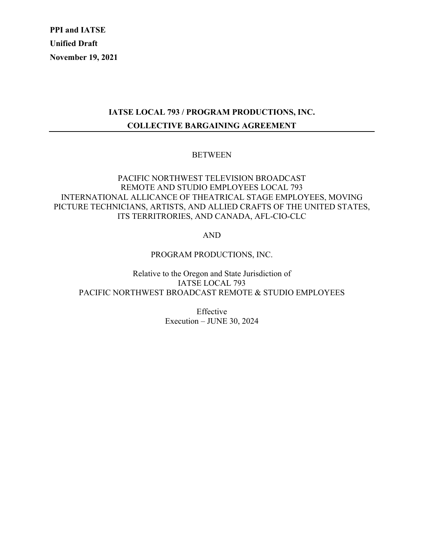**PPI and IATSE Unified Draft November 19, 2021**

# **IATSE LOCAL 793 / PROGRAM PRODUCTIONS, INC. COLLECTIVE BARGAINING AGREEMENT**

### **BETWEEN**

## PACIFIC NORTHWEST TELEVISION BROADCAST REMOTE AND STUDIO EMPLOYEES LOCAL 793 INTERNATIONAL ALLICANCE OF THEATRICAL STAGE EMPLOYEES, MOVING PICTURE TECHNICIANS, ARTISTS, AND ALLIED CRAFTS OF THE UNITED STATES, ITS TERRITRORIES, AND CANADA, AFL-CIO-CLC

AND

PROGRAM PRODUCTIONS, INC.

Relative to the Oregon and State Jurisdiction of IATSE LOCAL 793 PACIFIC NORTHWEST BROADCAST REMOTE & STUDIO EMPLOYEES

> Effective Execution – JUNE 30, 2024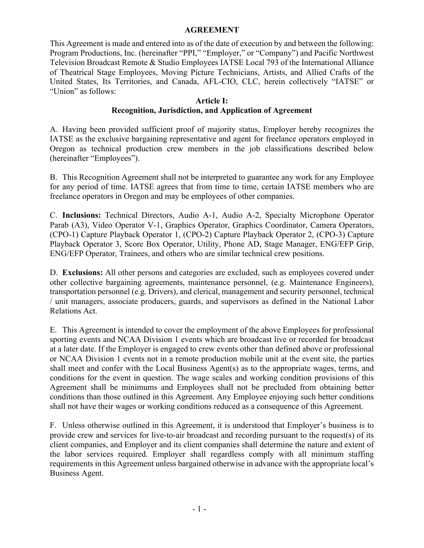#### **AGREEMENT**

This Agreement is made and entered into as of the date of execution by and between the following: Program Productions, Inc. (hereinafter "PPI," "Employer," or "Company") and Pacific Northwest Television Broadcast Remote & Studio Employees IATSE Local 793 of the International Alliance of Theatrical Stage Employees, Moving Picture Technicians, Artists, and Allied Crafts of the United States, Its Territories, and Canada, AFL-CIO, CLC, herein collectively "IATSE" or "Union" as follows:

#### **Article I: Recognition, Jurisdiction, and Application of Agreement**

A. Having been provided sufficient proof of majority status, Employer hereby recognizes the IATSE as the exclusive bargaining representative and agent for freelance operators employed in Oregon as technical production crew members in the job classifications described below (hereinafter "Employees").

B. This Recognition Agreement shall not be interpreted to guarantee any work for any Employee for any period of time. IATSE agrees that from time to time, certain IATSE members who are freelance operators in Oregon and may be employees of other companies.

C. **Inclusions:** Technical Directors, Audio A-1, Audio A-2, Specialty Microphone Operator Parab (A3), Video Operator V-1, Graphics Operator, Graphics Coordinator, Camera Operators, (CPO-1) Capture Playback Operator 1, (CPO-2) Capture Playback Operator 2, (CPO-3) Capture Playback Operator 3, Score Box Operator, Utility, Phone AD, Stage Manager, ENG/EFP Grip, ENG/EFP Operator, Trainees, and others who are similar technical crew positions.

D. **Exclusions:** All other persons and categories are excluded, such as employees covered under other collective bargaining agreements, maintenance personnel, (e.g. Maintenance Engineers), transportation personnel (e.g. Drivers), and clerical, management and security personnel, technical / unit managers, associate producers, guards, and supervisors as defined in the National Labor Relations Act.

E. This Agreement is intended to cover the employment of the above Employees for professional sporting events and NCAA Division 1 events which are broadcast live or recorded for broadcast at a later date. If the Employer is engaged to crew events other than defined above or professional or NCAA Division 1 events not in a remote production mobile unit at the event site, the parties shall meet and confer with the Local Business Agent(s) as to the appropriate wages, terms, and conditions for the event in question. The wage scales and working condition provisions of this Agreement shall be minimums and Employees shall not be precluded from obtaining better conditions than those outlined in this Agreement. Any Employee enjoying such better conditions shall not have their wages or working conditions reduced as a consequence of this Agreement.

F. Unless otherwise outlined in this Agreement, it is understood that Employer's business is to provide crew and services for live-to-air broadcast and recording pursuant to the request(s) of its client companies, and Employer and its client companies shall determine the nature and extent of the labor services required. Employer shall regardless comply with all minimum staffing requirements in this Agreement unless bargained otherwise in advance with the appropriate local's Business Agent.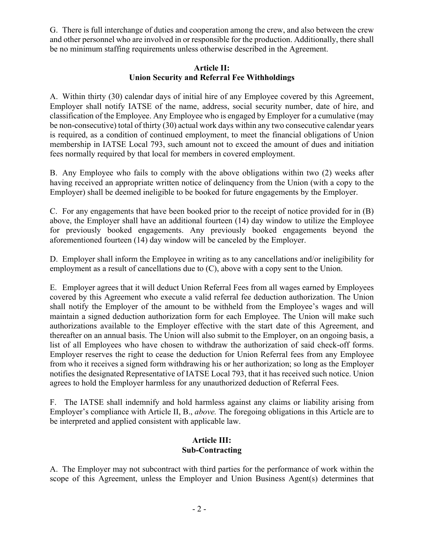G. There is full interchange of duties and cooperation among the crew, and also between the crew and other personnel who are involved in or responsible for the production. Additionally, there shall be no minimum staffing requirements unless otherwise described in the Agreement.

### **Article II: Union Security and Referral Fee Withholdings**

A. Within thirty (30) calendar days of initial hire of any Employee covered by this Agreement, Employer shall notify IATSE of the name, address, social security number, date of hire, and classification of the Employee. Any Employee who is engaged by Employer for a cumulative (may be non-consecutive) total of thirty (30) actual work days within any two consecutive calendar years is required, as a condition of continued employment, to meet the financial obligations of Union membership in IATSE Local 793, such amount not to exceed the amount of dues and initiation fees normally required by that local for members in covered employment.

B. Any Employee who fails to comply with the above obligations within two (2) weeks after having received an appropriate written notice of delinquency from the Union (with a copy to the Employer) shall be deemed ineligible to be booked for future engagements by the Employer.

C. For any engagements that have been booked prior to the receipt of notice provided for in (B) above, the Employer shall have an additional fourteen (14) day window to utilize the Employee for previously booked engagements. Any previously booked engagements beyond the aforementioned fourteen (14) day window will be canceled by the Employer.

D. Employer shall inform the Employee in writing as to any cancellations and/or ineligibility for employment as a result of cancellations due to  $(C)$ , above with a copy sent to the Union.

E. Employer agrees that it will deduct Union Referral Fees from all wages earned by Employees covered by this Agreement who execute a valid referral fee deduction authorization. The Union shall notify the Employer of the amount to be withheld from the Employee's wages and will maintain a signed deduction authorization form for each Employee. The Union will make such authorizations available to the Employer effective with the start date of this Agreement, and thereafter on an annual basis. The Union will also submit to the Employer, on an ongoing basis, a list of all Employees who have chosen to withdraw the authorization of said check-off forms. Employer reserves the right to cease the deduction for Union Referral fees from any Employee from who it receives a signed form withdrawing his or her authorization; so long as the Employer notifies the designated Representative of IATSE Local 793, that it has received such notice. Union agrees to hold the Employer harmless for any unauthorized deduction of Referral Fees.

F. The IATSE shall indemnify and hold harmless against any claims or liability arising from Employer's compliance with Article II, B., *above.* The foregoing obligations in this Article are to be interpreted and applied consistent with applicable law.

## **Article III: Sub-Contracting**

A. The Employer may not subcontract with third parties for the performance of work within the scope of this Agreement, unless the Employer and Union Business Agent(s) determines that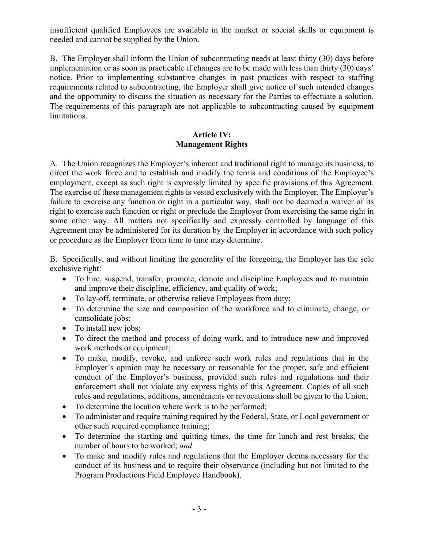insufficient qualified Employees are available in the market or special skills or equipment is needed and cannot be supplied by the Union.

B. The Employer shall inform the Union of subcontracting needs at least thirty (30) days before implementation or as soon as practicable if changes are to be made with less than thirty (30) days' notice. Prior to implementing substantive changes in past practices with respect to staffing requirements related to subcontracting, the Employer shall give notice of such intended changes and the opportunity to discuss the situation as necessary for the Parties to effectuate a solution. The requirements of this paragraph are not applicable to subcontracting caused by equipment limitations.

## **Article IV: Management Rights**

A. The Union recognizes the Employer's inherent and traditional right to manage its business, to direct the work force and to establish and modify the terms and conditions of the Employee's employment, except as such right is expressly limited by specific provisions of this Agreement. The exercise of these management rights is vested exclusively with the Employer. The Employer's failure to exercise any function or right in a particular way, shall not be deemed a waiver of its right to exercise such function or right or preclude the Employer from exercising the same right in some other way. All matters not specifically and expressly controlled by language of this Agreement may be administered for its duration by the Employer in accordance with such policy or procedure as the Employer from time to time may determine.

B. Specifically, and without limiting the generality of the foregoing, the Employer has the sole exclusive right:

- To hire, suspend, transfer, promote, demote and discipline Employees and to maintain and improve their discipline, efficiency, and quality of work;
- To lay-off, terminate, or otherwise relieve Employees from duty;
- To determine the size and composition of the workforce and to eliminate, change, or consolidate jobs;
- To install new jobs:
- To direct the method and process of doing work, and to introduce new and improved work methods or equipment;
- To make, modify, revoke, and enforce such work rules and regulations that in the Employer's opinion may be necessary or reasonable for the proper, safe and efficient conduct of the Employer's business, provided such rules and regulations and their enforcement shall not violate any express rights of this Agreement. Copies of all such rules and regulations, additions, amendments or revocations shall be given to the Union;
- To determine the location where work is to be performed;
- To administer and require training required by the Federal, State, or Local government or other such required compliance training;
- To determine the starting and quitting times, the time for lunch and rest breaks, the number of hours to be worked; *and*
- To make and modify rules and regulations that the Employer deems necessary for the conduct of its business and to require their observance (including but not limited to the Program Productions Field Employee Handbook).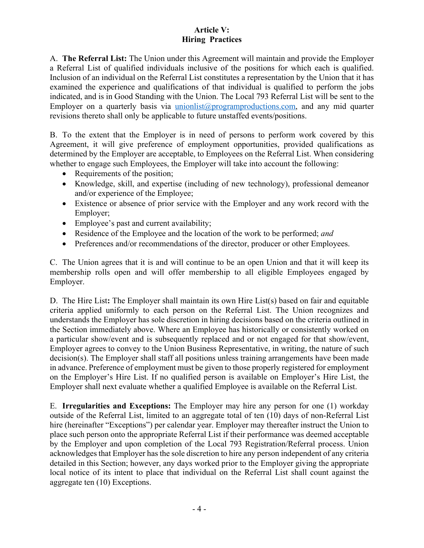## **Article V: Hiring Practices**

A. **The Referral List:** The Union under this Agreement will maintain and provide the Employer a Referral List of qualified individuals inclusive of the positions for which each is qualified. Inclusion of an individual on the Referral List constitutes a representation by the Union that it has examined the experience and qualifications of that individual is qualified to perform the jobs indicated, and is in Good Standing with the Union. The Local 793 Referral List will be sent to the Employer on a quarterly basis via unionlist@programproductions.com, and any mid quarter revisions thereto shall only be applicable to future unstaffed events/positions.

B. To the extent that the Employer is in need of persons to perform work covered by this Agreement, it will give preference of employment opportunities, provided qualifications as determined by the Employer are acceptable, to Employees on the Referral List. When considering whether to engage such Employees, the Employer will take into account the following:

- Requirements of the position;
- Knowledge, skill, and expertise (including of new technology), professional demeanor and/or experience of the Employee;
- Existence or absence of prior service with the Employer and any work record with the Employer;
- Employee's past and current availability;
- Residence of the Employee and the location of the work to be performed; *and*
- Preferences and/or recommendations of the director, producer or other Employees.

C. The Union agrees that it is and will continue to be an open Union and that it will keep its membership rolls open and will offer membership to all eligible Employees engaged by Employer.

D. The Hire List**:** The Employer shall maintain its own Hire List(s) based on fair and equitable criteria applied uniformly to each person on the Referral List. The Union recognizes and understands the Employer has sole discretion in hiring decisions based on the criteria outlined in the Section immediately above. Where an Employee has historically or consistently worked on a particular show/event and is subsequently replaced and or not engaged for that show/event, Employer agrees to convey to the Union Business Representative, in writing, the nature of such decision(s). The Employer shall staff all positions unless training arrangements have been made in advance. Preference of employment must be given to those properly registered for employment on the Employer's Hire List. If no qualified person is available on Employer's Hire List, the Employer shall next evaluate whether a qualified Employee is available on the Referral List.

E. **Irregularities and Exceptions:** The Employer may hire any person for one (1) workday outside of the Referral List, limited to an aggregate total of ten (10) days of non-Referral List hire (hereinafter "Exceptions") per calendar year. Employer may thereafter instruct the Union to place such person onto the appropriate Referral List if their performance was deemed acceptable by the Employer and upon completion of the Local 793 Registration/Referral process. Union acknowledges that Employer has the sole discretion to hire any person independent of any criteria detailed in this Section; however, any days worked prior to the Employer giving the appropriate local notice of its intent to place that individual on the Referral List shall count against the aggregate ten (10) Exceptions.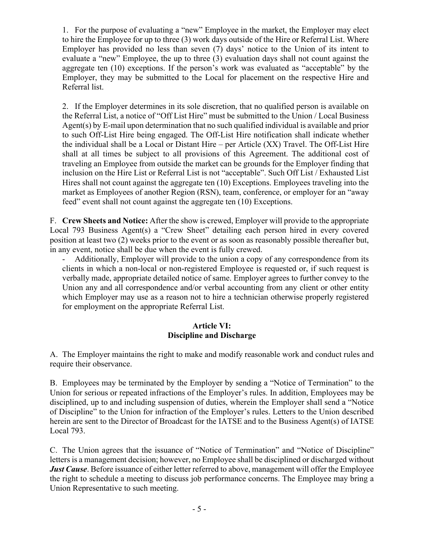1. For the purpose of evaluating a "new" Employee in the market, the Employer may elect to hire the Employee for up to three (3) work days outside of the Hire or Referral List. Where Employer has provided no less than seven (7) days' notice to the Union of its intent to evaluate a "new" Employee, the up to three (3) evaluation days shall not count against the aggregate ten (10) exceptions. If the person's work was evaluated as "acceptable" by the Employer, they may be submitted to the Local for placement on the respective Hire and Referral list.

2. If the Employer determines in its sole discretion, that no qualified person is available on the Referral List, a notice of "Off List Hire" must be submitted to the Union / Local Business Agent(s) by E-mail upon determination that no such qualified individual is available and prior to such Off-List Hire being engaged. The Off-List Hire notification shall indicate whether the individual shall be a Local or Distant Hire – per Article (XX) Travel. The Off-List Hire shall at all times be subject to all provisions of this Agreement. The additional cost of traveling an Employee from outside the market can be grounds for the Employer finding that inclusion on the Hire List or Referral List is not "acceptable". Such Off List / Exhausted List Hires shall not count against the aggregate ten (10) Exceptions. Employees traveling into the market as Employees of another Region (RSN), team, conference, or employer for an "away feed" event shall not count against the aggregate ten (10) Exceptions.

F. **Crew Sheets and Notice:** After the show is crewed, Employer will provide to the appropriate Local 793 Business Agent(s) a "Crew Sheet" detailing each person hired in every covered position at least two (2) weeks prior to the event or as soon as reasonably possible thereafter but, in any event, notice shall be due when the event is fully crewed.

Additionally, Employer will provide to the union a copy of any correspondence from its clients in which a non-local or non-registered Employee is requested or, if such request is verbally made, appropriate detailed notice of same. Employer agrees to further convey to the Union any and all correspondence and/or verbal accounting from any client or other entity which Employer may use as a reason not to hire a technician otherwise properly registered for employment on the appropriate Referral List.

## **Article VI: Discipline and Discharge**

A. The Employer maintains the right to make and modify reasonable work and conduct rules and require their observance.

B. Employees may be terminated by the Employer by sending a "Notice of Termination" to the Union for serious or repeated infractions of the Employer's rules. In addition, Employees may be disciplined, up to and including suspension of duties, wherein the Employer shall send a "Notice of Discipline" to the Union for infraction of the Employer's rules. Letters to the Union described herein are sent to the Director of Broadcast for the IATSE and to the Business Agent(s) of IATSE Local 793.

C. The Union agrees that the issuance of "Notice of Termination" and "Notice of Discipline" letters is a management decision; however, no Employee shall be disciplined or discharged without *Just Cause*. Before issuance of either letter referred to above, management will offer the Employee the right to schedule a meeting to discuss job performance concerns. The Employee may bring a Union Representative to such meeting.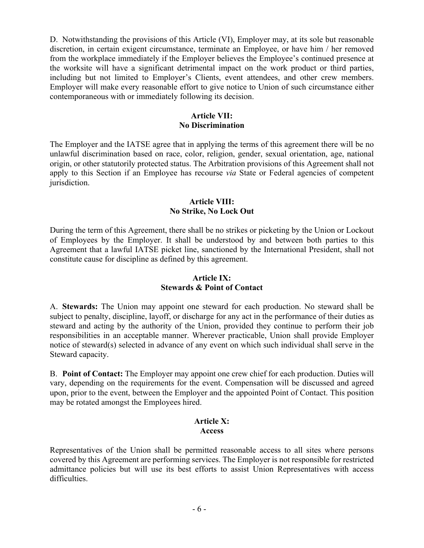D. Notwithstanding the provisions of this Article (VI), Employer may, at its sole but reasonable discretion, in certain exigent circumstance, terminate an Employee, or have him / her removed from the workplace immediately if the Employer believes the Employee's continued presence at the worksite will have a significant detrimental impact on the work product or third parties, including but not limited to Employer's Clients, event attendees, and other crew members. Employer will make every reasonable effort to give notice to Union of such circumstance either contemporaneous with or immediately following its decision.

## **Article VII: No Discrimination**

The Employer and the IATSE agree that in applying the terms of this agreement there will be no unlawful discrimination based on race, color, religion, gender, sexual orientation, age, national origin, or other statutorily protected status. The Arbitration provisions of this Agreement shall not apply to this Section if an Employee has recourse *via* State or Federal agencies of competent jurisdiction.

#### **Article VIII: No Strike, No Lock Out**

During the term of this Agreement, there shall be no strikes or picketing by the Union or Lockout of Employees by the Employer. It shall be understood by and between both parties to this Agreement that a lawful IATSE picket line, sanctioned by the International President, shall not constitute cause for discipline as defined by this agreement.

#### **Article IX: Stewards & Point of Contact**

A. **Stewards:** The Union may appoint one steward for each production. No steward shall be subject to penalty, discipline, layoff, or discharge for any act in the performance of their duties as steward and acting by the authority of the Union, provided they continue to perform their job responsibilities in an acceptable manner. Wherever practicable, Union shall provide Employer notice of steward(s) selected in advance of any event on which such individual shall serve in the Steward capacity.

B. **Point of Contact:** The Employer may appoint one crew chief for each production. Duties will vary, depending on the requirements for the event. Compensation will be discussed and agreed upon, prior to the event, between the Employer and the appointed Point of Contact. This position may be rotated amongst the Employees hired.

### **Article X: Access**

Representatives of the Union shall be permitted reasonable access to all sites where persons covered by this Agreement are performing services. The Employer is not responsible for restricted admittance policies but will use its best efforts to assist Union Representatives with access difficulties.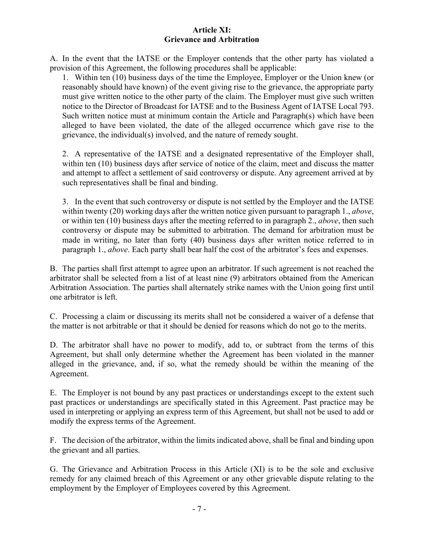#### **Article XI: Grievance and Arbitration**

A. In the event that the IATSE or the Employer contends that the other party has violated a provision of this Agreement, the following procedures shall be applicable:

1. Within ten (10) business days of the time the Employee, Employer or the Union knew (or reasonably should have known) of the event giving rise to the grievance, the appropriate party must give written notice to the other party of the claim. The Employer must give such written notice to the Director of Broadcast for IATSE and to the Business Agent of IATSE Local 793. Such written notice must at minimum contain the Article and Paragraph(s) which have been alleged to have been violated, the date of the alleged occurrence which gave rise to the grievance, the individual(s) involved, and the nature of remedy sought.

2. A representative of the IATSE and a designated representative of the Employer shall, within ten (10) business days after service of notice of the claim, meet and discuss the matter and attempt to affect a settlement of said controversy or dispute. Any agreement arrived at by such representatives shall be final and binding.

3. In the event that such controversy or dispute is not settled by the Employer and the IATSE within twenty (20) working days after the written notice given pursuant to paragraph 1., *above*, or within ten (10) business days after the meeting referred to in paragraph 2., *above*, then such controversy or dispute may be submitted to arbitration. The demand for arbitration must be made in writing, no later than forty (40) business days after written notice referred to in paragraph 1., *above*. Each party shall bear half the cost of the arbitrator's fees and expenses.

B. The parties shall first attempt to agree upon an arbitrator. If such agreement is not reached the arbitrator shall be selected from a list of at least nine (9) arbitrators obtained from the American Arbitration Association. The parties shall alternately strike names with the Union going first until one arbitrator is left.

C. Processing a claim or discussing its merits shall not be considered a waiver of a defense that the matter is not arbitrable or that it should be denied for reasons which do not go to the merits.

D. The arbitrator shall have no power to modify, add to, or subtract from the terms of this Agreement, but shall only determine whether the Agreement has been violated in the manner alleged in the grievance, and, if so, what the remedy should be within the meaning of the Agreement.

E. The Employer is not bound by any past practices or understandings except to the extent such past practices or understandings are specifically stated in this Agreement. Past practice may be used in interpreting or applying an express term of this Agreement, but shall not be used to add or modify the express terms of the Agreement.

F. The decision of the arbitrator, within the limits indicated above, shall be final and binding upon the grievant and all parties.

G. The Grievance and Arbitration Process in this Article (XI) is to be the sole and exclusive remedy for any claimed breach of this Agreement or any other grievable dispute relating to the employment by the Employer of Employees covered by this Agreement.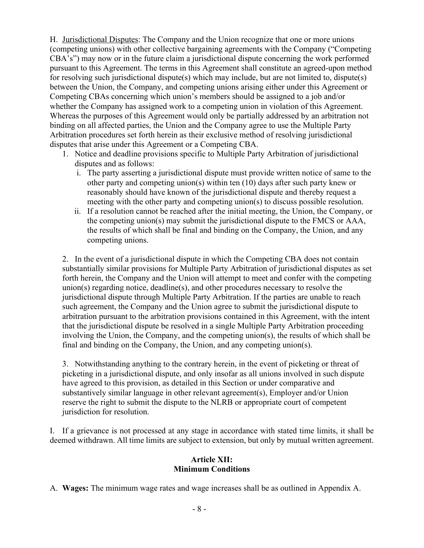H. Jurisdictional Disputes: The Company and the Union recognize that one or more unions (competing unions) with other collective bargaining agreements with the Company ("Competing CBA's") may now or in the future claim a jurisdictional dispute concerning the work performed pursuant to this Agreement. The terms in this Agreement shall constitute an agreed-upon method for resolving such jurisdictional dispute(s) which may include, but are not limited to, dispute(s) between the Union, the Company, and competing unions arising either under this Agreement or Competing CBAs concerning which union's members should be assigned to a job and/or whether the Company has assigned work to a competing union in violation of this Agreement. Whereas the purposes of this Agreement would only be partially addressed by an arbitration not binding on all affected parties, the Union and the Company agree to use the Multiple Party Arbitration procedures set forth herein as their exclusive method of resolving jurisdictional disputes that arise under this Agreement or a Competing CBA.

- 1. Notice and deadline provisions specific to Multiple Party Arbitration of jurisdictional disputes and as follows:
	- i. The party asserting a jurisdictional dispute must provide written notice of same to the other party and competing union(s) within ten (10) days after such party knew or reasonably should have known of the jurisdictional dispute and thereby request a meeting with the other party and competing union(s) to discuss possible resolution.
	- ii. If a resolution cannot be reached after the initial meeting, the Union, the Company, or the competing union(s) may submit the jurisdictional dispute to the FMCS or AAA, the results of which shall be final and binding on the Company, the Union, and any competing unions.

2. In the event of a jurisdictional dispute in which the Competing CBA does not contain substantially similar provisions for Multiple Party Arbitration of jurisdictional disputes as set forth herein, the Company and the Union will attempt to meet and confer with the competing union(s) regarding notice, deadline(s), and other procedures necessary to resolve the jurisdictional dispute through Multiple Party Arbitration. If the parties are unable to reach such agreement, the Company and the Union agree to submit the jurisdictional dispute to arbitration pursuant to the arbitration provisions contained in this Agreement, with the intent that the jurisdictional dispute be resolved in a single Multiple Party Arbitration proceeding involving the Union, the Company, and the competing union(s), the results of which shall be final and binding on the Company, the Union, and any competing union(s).

3. Notwithstanding anything to the contrary herein, in the event of picketing or threat of picketing in a jurisdictional dispute, and only insofar as all unions involved in such dispute have agreed to this provision, as detailed in this Section or under comparative and substantively similar language in other relevant agreement(s), Employer and/or Union reserve the right to submit the dispute to the NLRB or appropriate court of competent jurisdiction for resolution.

I. If a grievance is not processed at any stage in accordance with stated time limits, it shall be deemed withdrawn. All time limits are subject to extension, but only by mutual written agreement.

#### **Article XII: Minimum Conditions**

A. **Wages:** The minimum wage rates and wage increases shall be as outlined in Appendix A.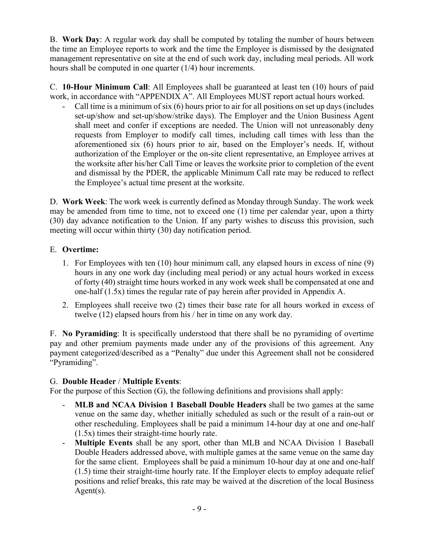B. **Work Day**: A regular work day shall be computed by totaling the number of hours between the time an Employee reports to work and the time the Employee is dismissed by the designated management representative on site at the end of such work day, including meal periods. All work hours shall be computed in one quarter (1/4) hour increments.

C. **10-Hour Minimum Call**: All Employees shall be guaranteed at least ten (10) hours of paid work, in accordance with "APPENDIX A". All Employees MUST report actual hours worked.

- Call time is a minimum of six (6) hours prior to air for all positions on set up days (includes set-up/show and set-up/show/strike days). The Employer and the Union Business Agent shall meet and confer if exceptions are needed. The Union will not unreasonably deny requests from Employer to modify call times, including call times with less than the aforementioned six (6) hours prior to air, based on the Employer's needs. If, without authorization of the Employer or the on-site client representative, an Employee arrives at the worksite after his/her Call Time or leaves the worksite prior to completion of the event and dismissal by the PDER, the applicable Minimum Call rate may be reduced to reflect the Employee's actual time present at the worksite.

D. **Work Week**: The work week is currently defined as Monday through Sunday. The work week may be amended from time to time, not to exceed one (1) time per calendar year, upon a thirty (30) day advance notification to the Union. If any party wishes to discuss this provision, such meeting will occur within thirty (30) day notification period.

# E. **Overtime:**

- 1. For Employees with ten (10) hour minimum call, any elapsed hours in excess of nine (9) hours in any one work day (including meal period) or any actual hours worked in excess of forty (40) straight time hours worked in any work week shall be compensated at one and one-half (1.5x) times the regular rate of pay herein after provided in Appendix A.
- 2. Employees shall receive two (2) times their base rate for all hours worked in excess of twelve (12) elapsed hours from his / her in time on any work day.

F. **No Pyramiding**: It is specifically understood that there shall be no pyramiding of overtime pay and other premium payments made under any of the provisions of this agreement. Any payment categorized/described as a "Penalty" due under this Agreement shall not be considered "Pyramiding".

## G. **Double Header** / **Multiple Events**:

For the purpose of this Section (G), the following definitions and provisions shall apply:

- **MLB and NCAA Division 1 Baseball Double Headers** shall be two games at the same venue on the same day, whether initially scheduled as such or the result of a rain-out or other rescheduling. Employees shall be paid a minimum 14-hour day at one and one-half (1.5x) times their straight-time hourly rate.
- **Multiple Events** shall be any sport, other than MLB and NCAA Division 1 Baseball Double Headers addressed above, with multiple games at the same venue on the same day for the same client. Employees shall be paid a minimum 10-hour day at one and one-half (1.5) time their straight-time hourly rate. If the Employer elects to employ adequate relief positions and relief breaks, this rate may be waived at the discretion of the local Business Agent(s).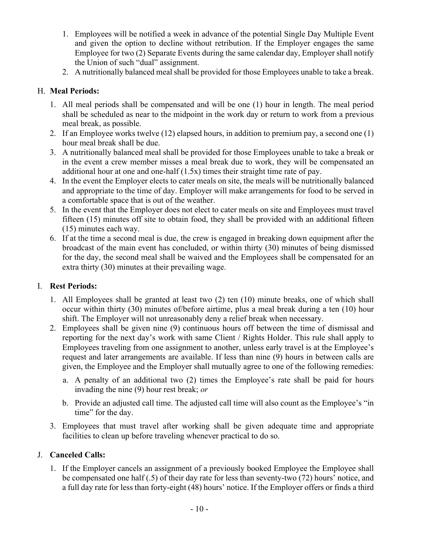- 1. Employees will be notified a week in advance of the potential Single Day Multiple Event and given the option to decline without retribution. If the Employer engages the same Employee for two (2) Separate Events during the same calendar day, Employer shall notify the Union of such "dual" assignment.
- 2. A nutritionally balanced meal shall be provided for those Employees unable to take a break.

# H. **Meal Periods:**

- 1. All meal periods shall be compensated and will be one (1) hour in length. The meal period shall be scheduled as near to the midpoint in the work day or return to work from a previous meal break, as possible.
- 2. If an Employee works twelve (12) elapsed hours, in addition to premium pay, a second one (1) hour meal break shall be due.
- 3. A nutritionally balanced meal shall be provided for those Employees unable to take a break or in the event a crew member misses a meal break due to work, they will be compensated an additional hour at one and one-half (1.5x) times their straight time rate of pay.
- 4. In the event the Employer elects to cater meals on site, the meals will be nutritionally balanced and appropriate to the time of day. Employer will make arrangements for food to be served in a comfortable space that is out of the weather.
- 5. In the event that the Employer does not elect to cater meals on site and Employees must travel fifteen (15) minutes off site to obtain food, they shall be provided with an additional fifteen (15) minutes each way.
- 6. If at the time a second meal is due, the crew is engaged in breaking down equipment after the broadcast of the main event has concluded, or within thirty (30) minutes of being dismissed for the day, the second meal shall be waived and the Employees shall be compensated for an extra thirty (30) minutes at their prevailing wage.

# I. **Rest Periods:**

- 1. All Employees shall be granted at least two (2) ten (10) minute breaks, one of which shall occur within thirty (30) minutes of/before airtime, plus a meal break during a ten (10) hour shift. The Employer will not unreasonably deny a relief break when necessary.
- 2. Employees shall be given nine (9) continuous hours off between the time of dismissal and reporting for the next day's work with same Client / Rights Holder. This rule shall apply to Employees traveling from one assignment to another, unless early travel is at the Employee's request and later arrangements are available. If less than nine (9) hours in between calls are given, the Employee and the Employer shall mutually agree to one of the following remedies:
	- a. A penalty of an additional two (2) times the Employee's rate shall be paid for hours invading the nine (9) hour rest break; *or*
	- b. Provide an adjusted call time. The adjusted call time will also count as the Employee's "in time" for the day.
- 3. Employees that must travel after working shall be given adequate time and appropriate facilities to clean up before traveling whenever practical to do so.

# J. **Canceled Calls:**

1. If the Employer cancels an assignment of a previously booked Employee the Employee shall be compensated one half (.5) of their day rate for less than seventy-two (72) hours' notice, and a full day rate for less than forty-eight (48) hours' notice. If the Employer offers or finds a third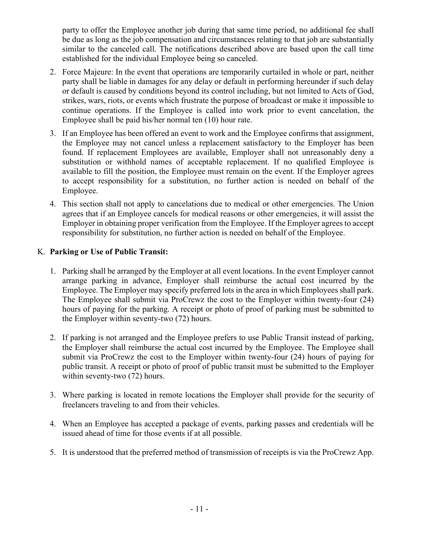party to offer the Employee another job during that same time period, no additional fee shall be due as long as the job compensation and circumstances relating to that job are substantially similar to the canceled call. The notifications described above are based upon the call time established for the individual Employee being so canceled.

- 2. Force Majeure: In the event that operations are temporarily curtailed in whole or part, neither party shall be liable in damages for any delay or default in performing hereunder if such delay or default is caused by conditions beyond its control including, but not limited to Acts of God, strikes, wars, riots, or events which frustrate the purpose of broadcast or make it impossible to continue operations. If the Employee is called into work prior to event cancelation, the Employee shall be paid his/her normal ten (10) hour rate.
- 3. If an Employee has been offered an event to work and the Employee confirms that assignment, the Employee may not cancel unless a replacement satisfactory to the Employer has been found. If replacement Employees are available, Employer shall not unreasonably deny a substitution or withhold names of acceptable replacement. If no qualified Employee is available to fill the position, the Employee must remain on the event. If the Employer agrees to accept responsibility for a substitution, no further action is needed on behalf of the Employee.
- 4. This section shall not apply to cancelations due to medical or other emergencies. The Union agrees that if an Employee cancels for medical reasons or other emergencies, it will assist the Employer in obtaining proper verification from the Employee. If the Employer agrees to accept responsibility for substitution, no further action is needed on behalf of the Employee.

## K. **Parking or Use of Public Transit:**

- 1. Parking shall be arranged by the Employer at all event locations. In the event Employer cannot arrange parking in advance, Employer shall reimburse the actual cost incurred by the Employee. The Employer may specify preferred lots in the area in which Employees shall park. The Employee shall submit via ProCrewz the cost to the Employer within twenty-four (24) hours of paying for the parking. A receipt or photo of proof of parking must be submitted to the Employer within seventy-two (72) hours.
- 2. If parking is not arranged and the Employee prefers to use Public Transit instead of parking, the Employer shall reimburse the actual cost incurred by the Employee. The Employee shall submit via ProCrewz the cost to the Employer within twenty-four (24) hours of paying for public transit. A receipt or photo of proof of public transit must be submitted to the Employer within seventy-two  $(72)$  hours.
- 3. Where parking is located in remote locations the Employer shall provide for the security of freelancers traveling to and from their vehicles.
- 4. When an Employee has accepted a package of events, parking passes and credentials will be issued ahead of time for those events if at all possible.
- 5. It is understood that the preferred method of transmission of receipts is via the ProCrewz App.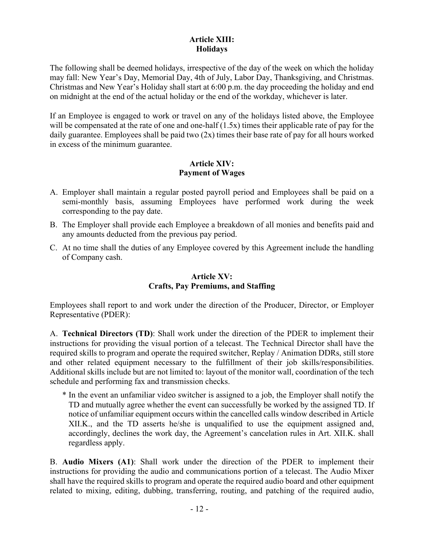## **Article XIII: Holidays**

The following shall be deemed holidays, irrespective of the day of the week on which the holiday may fall: New Year's Day, Memorial Day, 4th of July, Labor Day, Thanksgiving, and Christmas. Christmas and New Year's Holiday shall start at 6:00 p.m. the day proceeding the holiday and end on midnight at the end of the actual holiday or the end of the workday, whichever is later.

If an Employee is engaged to work or travel on any of the holidays listed above, the Employee will be compensated at the rate of one and one-half  $(1.5x)$  times their applicable rate of pay for the daily guarantee. Employees shall be paid two (2x) times their base rate of pay for all hours worked in excess of the minimum guarantee.

### **Article XIV: Payment of Wages**

- A. Employer shall maintain a regular posted payroll period and Employees shall be paid on a semi-monthly basis, assuming Employees have performed work during the week corresponding to the pay date.
- B. The Employer shall provide each Employee a breakdown of all monies and benefits paid and any amounts deducted from the previous pay period.
- C. At no time shall the duties of any Employee covered by this Agreement include the handling of Company cash.

### **Article XV: Crafts, Pay Premiums, and Staffing**

Employees shall report to and work under the direction of the Producer, Director, or Employer Representative (PDER):

A. **Technical Directors (TD)**: Shall work under the direction of the PDER to implement their instructions for providing the visual portion of a telecast. The Technical Director shall have the required skills to program and operate the required switcher, Replay / Animation DDRs, still store and other related equipment necessary to the fulfillment of their job skills/responsibilities. Additional skills include but are not limited to: layout of the monitor wall, coordination of the tech schedule and performing fax and transmission checks.

\* In the event an unfamiliar video switcher is assigned to a job, the Employer shall notify the TD and mutually agree whether the event can successfully be worked by the assigned TD. If notice of unfamiliar equipment occurs within the cancelled calls window described in Article XII.K., and the TD asserts he/she is unqualified to use the equipment assigned and, accordingly, declines the work day, the Agreement's cancelation rules in Art. XII.K. shall regardless apply.

B. **Audio Mixers (A1)**: Shall work under the direction of the PDER to implement their instructions for providing the audio and communications portion of a telecast. The Audio Mixer shall have the required skills to program and operate the required audio board and other equipment related to mixing, editing, dubbing, transferring, routing, and patching of the required audio,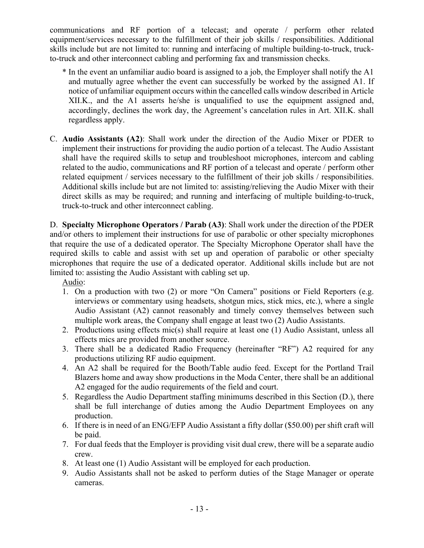communications and RF portion of a telecast; and operate / perform other related equipment/services necessary to the fulfillment of their job skills / responsibilities. Additional skills include but are not limited to: running and interfacing of multiple building-to-truck, truckto-truck and other interconnect cabling and performing fax and transmission checks.

- \* In the event an unfamiliar audio board is assigned to a job, the Employer shall notify the A1 and mutually agree whether the event can successfully be worked by the assigned A1. If notice of unfamiliar equipment occurs within the cancelled calls window described in Article XII.K., and the A1 asserts he/she is unqualified to use the equipment assigned and, accordingly, declines the work day, the Agreement's cancelation rules in Art. XII.K. shall regardless apply.
- C. **Audio Assistants (A2)**: Shall work under the direction of the Audio Mixer or PDER to implement their instructions for providing the audio portion of a telecast. The Audio Assistant shall have the required skills to setup and troubleshoot microphones, intercom and cabling related to the audio, communications and RF portion of a telecast and operate / perform other related equipment / services necessary to the fulfillment of their job skills / responsibilities. Additional skills include but are not limited to: assisting/relieving the Audio Mixer with their direct skills as may be required; and running and interfacing of multiple building-to-truck, truck-to-truck and other interconnect cabling.

D. **Specialty Microphone Operators / Parab (A3)**: Shall work under the direction of the PDER and/or others to implement their instructions for use of parabolic or other specialty microphones that require the use of a dedicated operator. The Specialty Microphone Operator shall have the required skills to cable and assist with set up and operation of parabolic or other specialty microphones that require the use of a dedicated operator. Additional skills include but are not limited to: assisting the Audio Assistant with cabling set up.

Audio:

- 1. On a production with two (2) or more "On Camera" positions or Field Reporters (e.g. interviews or commentary using headsets, shotgun mics, stick mics, etc.), where a single Audio Assistant (A2) cannot reasonably and timely convey themselves between such multiple work areas, the Company shall engage at least two (2) Audio Assistants.
- 2. Productions using effects mic(s) shall require at least one (1) Audio Assistant, unless all effects mics are provided from another source.
- 3. There shall be a dedicated Radio Frequency (hereinafter "RF") A2 required for any productions utilizing RF audio equipment.
- 4. An A2 shall be required for the Booth/Table audio feed. Except for the Portland Trail Blazers home and away show productions in the Moda Center, there shall be an additional A2 engaged for the audio requirements of the field and court.
- 5. Regardless the Audio Department staffing minimums described in this Section (D.), there shall be full interchange of duties among the Audio Department Employees on any production.
- 6. If there is in need of an ENG/EFP Audio Assistant a fifty dollar (\$50.00) per shift craft will be paid.
- 7. For dual feeds that the Employer is providing visit dual crew, there will be a separate audio crew.
- 8. At least one (1) Audio Assistant will be employed for each production.
- 9. Audio Assistants shall not be asked to perform duties of the Stage Manager or operate cameras.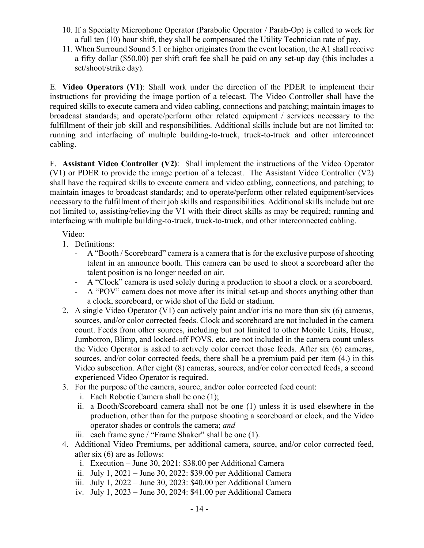- 10. If a Specialty Microphone Operator (Parabolic Operator / Parab-Op) is called to work for a full ten (10) hour shift, they shall be compensated the Utility Technician rate of pay.
- 11. When Surround Sound 5.1 or higher originates from the event location, the A1 shall receive a fifty dollar (\$50.00) per shift craft fee shall be paid on any set-up day (this includes a set/shoot/strike day).

E. **Video Operators (V1)**: Shall work under the direction of the PDER to implement their instructions for providing the image portion of a telecast. The Video Controller shall have the required skills to execute camera and video cabling, connections and patching; maintain images to broadcast standards; and operate/perform other related equipment / services necessary to the fulfillment of their job skill and responsibilities. Additional skills include but are not limited to: running and interfacing of multiple building-to-truck, truck-to-truck and other interconnect cabling.

F. **Assistant Video Controller (V2)**: Shall implement the instructions of the Video Operator (V1) or PDER to provide the image portion of a telecast. The Assistant Video Controller (V2) shall have the required skills to execute camera and video cabling, connections, and patching; to maintain images to broadcast standards; and to operate/perform other related equipment/services necessary to the fulfillment of their job skills and responsibilities. Additional skills include but are not limited to, assisting/relieving the V1 with their direct skills as may be required; running and interfacing with multiple building-to-truck, truck-to-truck, and other interconnected cabling.

# Video:

- 1. Definitions:
	- A "Booth / Scoreboard" camera is a camera that is for the exclusive purpose of shooting talent in an announce booth. This camera can be used to shoot a scoreboard after the talent position is no longer needed on air.
	- A "Clock" camera is used solely during a production to shoot a clock or a scoreboard.
	- A "POV" camera does not move after its initial set-up and shoots anything other than a clock, scoreboard, or wide shot of the field or stadium.
- 2. A single Video Operator (V1) can actively paint and/or iris no more than six (6) cameras, sources, and/or color corrected feeds. Clock and scoreboard are not included in the camera count. Feeds from other sources, including but not limited to other Mobile Units, House, Jumbotron, Blimp, and locked-off POVS, etc. are not included in the camera count unless the Video Operator is asked to actively color correct those feeds. After six (6) cameras, sources, and/or color corrected feeds, there shall be a premium paid per item (4.) in this Video subsection. After eight (8) cameras, sources, and/or color corrected feeds, a second experienced Video Operator is required.
- 3. For the purpose of the camera, source, and/or color corrected feed count:
	- i. Each Robotic Camera shall be one (1);
	- ii. a Booth/Scoreboard camera shall not be one (1) unless it is used elsewhere in the production, other than for the purpose shooting a scoreboard or clock, and the Video operator shades or controls the camera; *and*
	- iii. each frame sync / "Frame Shaker" shall be one (1).
- 4. Additional Video Premiums, per additional camera, source, and/or color corrected feed, after six (6) are as follows:
	- i. Execution June 30, 2021: \$38.00 per Additional Camera
	- ii. July 1, 2021 June 30, 2022: \$39.00 per Additional Camera
	- iii. July 1, 2022 June 30, 2023: \$40.00 per Additional Camera
	- iv. July 1, 2023 June 30, 2024: \$41.00 per Additional Camera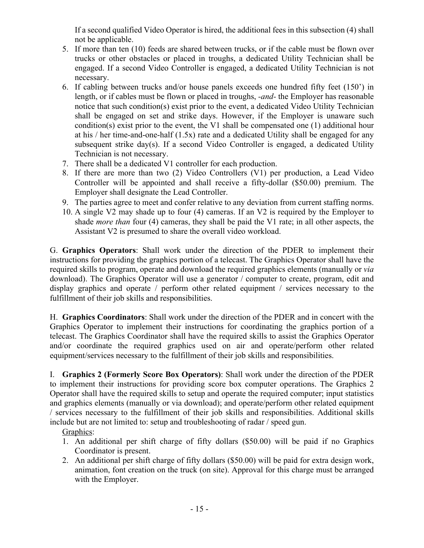If a second qualified Video Operator is hired, the additional fees in this subsection (4) shall not be applicable.

- 5. If more than ten (10) feeds are shared between trucks, or if the cable must be flown over trucks or other obstacles or placed in troughs, a dedicated Utility Technician shall be engaged. If a second Video Controller is engaged, a dedicated Utility Technician is not necessary.
- 6. If cabling between trucks and/or house panels exceeds one hundred fifty feet (150') in length, or if cables must be flown or placed in troughs, *-and-* the Employer has reasonable notice that such condition(s) exist prior to the event, a dedicated Video Utility Technician shall be engaged on set and strike days. However, if the Employer is unaware such condition(s) exist prior to the event, the V1 shall be compensated one (1) additional hour at his / her time-and-one-half (1.5x) rate and a dedicated Utility shall be engaged for any subsequent strike day(s). If a second Video Controller is engaged, a dedicated Utility Technician is not necessary.
- 7. There shall be a dedicated V1 controller for each production.
- 8. If there are more than two (2) Video Controllers (V1) per production, a Lead Video Controller will be appointed and shall receive a fifty-dollar (\$50.00) premium. The Employer shall designate the Lead Controller.
- 9. The parties agree to meet and confer relative to any deviation from current staffing norms.
- 10. A single V2 may shade up to four (4) cameras. If an V2 is required by the Employer to shade *more than* four (4) cameras, they shall be paid the V1 rate; in all other aspects, the Assistant V2 is presumed to share the overall video workload.

G. **Graphics Operators**: Shall work under the direction of the PDER to implement their instructions for providing the graphics portion of a telecast. The Graphics Operator shall have the required skills to program, operate and download the required graphics elements (manually or *via* download). The Graphics Operator will use a generator / computer to create, program, edit and display graphics and operate / perform other related equipment / services necessary to the fulfillment of their job skills and responsibilities.

H. **Graphics Coordinators**: Shall work under the direction of the PDER and in concert with the Graphics Operator to implement their instructions for coordinating the graphics portion of a telecast. The Graphics Coordinator shall have the required skills to assist the Graphics Operator and/or coordinate the required graphics used on air and operate/perform other related equipment/services necessary to the fulfillment of their job skills and responsibilities.

I. **Graphics 2 (Formerly Score Box Operators)**: Shall work under the direction of the PDER to implement their instructions for providing score box computer operations. The Graphics 2 Operator shall have the required skills to setup and operate the required computer; input statistics and graphics elements (manually or via download); and operate/perform other related equipment / services necessary to the fulfillment of their job skills and responsibilities. Additional skills include but are not limited to: setup and troubleshooting of radar / speed gun.

Graphics:

- 1. An additional per shift charge of fifty dollars (\$50.00) will be paid if no Graphics Coordinator is present.
- 2. An additional per shift charge of fifty dollars (\$50.00) will be paid for extra design work, animation, font creation on the truck (on site). Approval for this charge must be arranged with the Employer.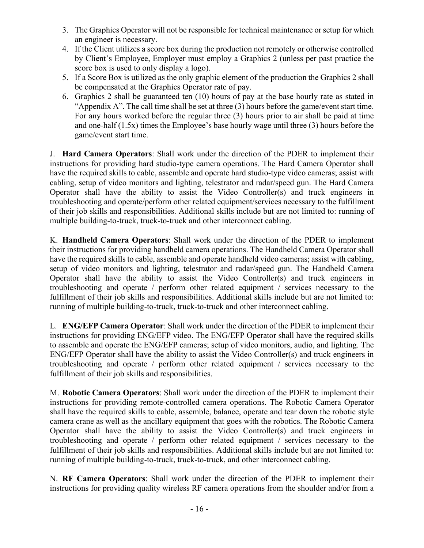- 3. The Graphics Operator will not be responsible for technical maintenance or setup for which an engineer is necessary.
- 4. If the Client utilizes a score box during the production not remotely or otherwise controlled by Client's Employee, Employer must employ a Graphics 2 (unless per past practice the score box is used to only display a logo).
- 5. If a Score Box is utilized as the only graphic element of the production the Graphics 2 shall be compensated at the Graphics Operator rate of pay.
- 6. Graphics 2 shall be guaranteed ten (10) hours of pay at the base hourly rate as stated in "Appendix A". The call time shall be set at three (3) hours before the game/event start time. For any hours worked before the regular three (3) hours prior to air shall be paid at time and one-half (1.5x) times the Employee's base hourly wage until three (3) hours before the game/event start time.

J. **Hard Camera Operators**: Shall work under the direction of the PDER to implement their instructions for providing hard studio-type camera operations. The Hard Camera Operator shall have the required skills to cable, assemble and operate hard studio-type video cameras; assist with cabling, setup of video monitors and lighting, telestrator and radar/speed gun. The Hard Camera Operator shall have the ability to assist the Video Controller(s) and truck engineers in troubleshooting and operate/perform other related equipment/services necessary to the fulfillment of their job skills and responsibilities. Additional skills include but are not limited to: running of multiple building-to-truck, truck-to-truck and other interconnect cabling.

K. **Handheld Camera Operators**: Shall work under the direction of the PDER to implement their instructions for providing handheld camera operations. The Handheld Camera Operator shall have the required skills to cable, assemble and operate handheld video cameras; assist with cabling, setup of video monitors and lighting, telestrator and radar/speed gun. The Handheld Camera Operator shall have the ability to assist the Video Controller(s) and truck engineers in troubleshooting and operate / perform other related equipment / services necessary to the fulfillment of their job skills and responsibilities. Additional skills include but are not limited to: running of multiple building-to-truck, truck-to-truck and other interconnect cabling.

L. **ENG/EFP Camera Operator**: Shall work under the direction of the PDER to implement their instructions for providing ENG/EFP video. The ENG/EFP Operator shall have the required skills to assemble and operate the ENG/EFP cameras; setup of video monitors, audio, and lighting. The ENG/EFP Operator shall have the ability to assist the Video Controller(s) and truck engineers in troubleshooting and operate / perform other related equipment / services necessary to the fulfillment of their job skills and responsibilities.

M. **Robotic Camera Operators**: Shall work under the direction of the PDER to implement their instructions for providing remote-controlled camera operations. The Robotic Camera Operator shall have the required skills to cable, assemble, balance, operate and tear down the robotic style camera crane as well as the ancillary equipment that goes with the robotics. The Robotic Camera Operator shall have the ability to assist the Video Controller(s) and truck engineers in troubleshooting and operate / perform other related equipment / services necessary to the fulfillment of their job skills and responsibilities. Additional skills include but are not limited to: running of multiple building-to-truck, truck-to-truck, and other interconnect cabling.

N. **RF Camera Operators**: Shall work under the direction of the PDER to implement their instructions for providing quality wireless RF camera operations from the shoulder and/or from a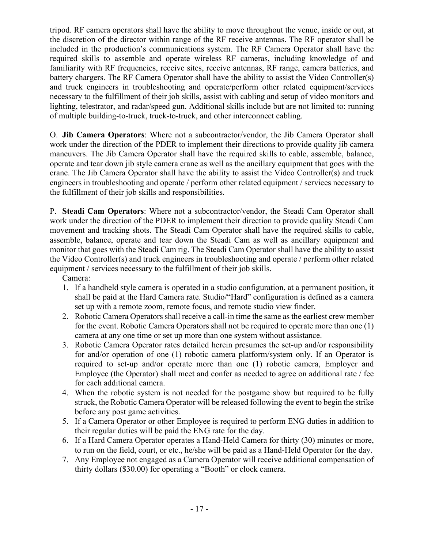tripod. RF camera operators shall have the ability to move throughout the venue, inside or out, at the discretion of the director within range of the RF receive antennas. The RF operator shall be included in the production's communications system. The RF Camera Operator shall have the required skills to assemble and operate wireless RF cameras, including knowledge of and familiarity with RF frequencies, receive sites, receive antennas, RF range, camera batteries, and battery chargers. The RF Camera Operator shall have the ability to assist the Video Controller(s) and truck engineers in troubleshooting and operate/perform other related equipment/services necessary to the fulfillment of their job skills, assist with cabling and setup of video monitors and lighting, telestrator, and radar/speed gun. Additional skills include but are not limited to: running of multiple building-to-truck, truck-to-truck, and other interconnect cabling.

O. **Jib Camera Operators**: Where not a subcontractor/vendor, the Jib Camera Operator shall work under the direction of the PDER to implement their directions to provide quality jib camera maneuvers. The Jib Camera Operator shall have the required skills to cable, assemble, balance, operate and tear down jib style camera crane as well as the ancillary equipment that goes with the crane. The Jib Camera Operator shall have the ability to assist the Video Controller(s) and truck engineers in troubleshooting and operate / perform other related equipment / services necessary to the fulfillment of their job skills and responsibilities.

P. **Steadi Cam Operators**: Where not a subcontractor/vendor, the Steadi Cam Operator shall work under the direction of the PDER to implement their direction to provide quality Steadi Cam movement and tracking shots. The Steadi Cam Operator shall have the required skills to cable, assemble, balance, operate and tear down the Steadi Cam as well as ancillary equipment and monitor that goes with the Steadi Cam rig. The Steadi Cam Operator shall have the ability to assist the Video Controller(s) and truck engineers in troubleshooting and operate / perform other related equipment / services necessary to the fulfillment of their job skills.

Camera:

- 1. If a handheld style camera is operated in a studio configuration, at a permanent position, it shall be paid at the Hard Camera rate. Studio/"Hard" configuration is defined as a camera set up with a remote zoom, remote focus, and remote studio view finder.
- 2. Robotic Camera Operators shall receive a call-in time the same as the earliest crew member for the event. Robotic Camera Operators shall not be required to operate more than one (1) camera at any one time or set up more than one system without assistance.
- 3. Robotic Camera Operator rates detailed herein presumes the set-up and/or responsibility for and/or operation of one (1) robotic camera platform/system only. If an Operator is required to set-up and/or operate more than one (1) robotic camera, Employer and Employee (the Operator) shall meet and confer as needed to agree on additional rate / fee for each additional camera.
- 4. When the robotic system is not needed for the postgame show but required to be fully struck, the Robotic Camera Operator will be released following the event to begin the strike before any post game activities.
- 5. If a Camera Operator or other Employee is required to perform ENG duties in addition to their regular duties will be paid the ENG rate for the day.
- 6. If a Hard Camera Operator operates a Hand-Held Camera for thirty (30) minutes or more, to run on the field, court, or etc., he/she will be paid as a Hand-Held Operator for the day.
- 7. Any Employee not engaged as a Camera Operator will receive additional compensation of thirty dollars (\$30.00) for operating a "Booth" or clock camera.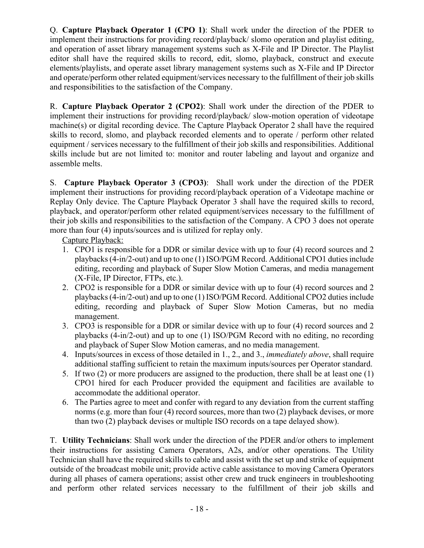Q. **Capture Playback Operator 1 (CPO 1)**: Shall work under the direction of the PDER to implement their instructions for providing record/playback/ slomo operation and playlist editing, and operation of asset library management systems such as X-File and IP Director. The Playlist editor shall have the required skills to record, edit, slomo, playback, construct and execute elements/playlists, and operate asset library management systems such as X-File and IP Director and operate/perform other related equipment/services necessary to the fulfillment of their job skills and responsibilities to the satisfaction of the Company.

R. **Capture Playback Operator 2 (CPO2)**: Shall work under the direction of the PDER to implement their instructions for providing record/playback/ slow-motion operation of videotape machine(s) or digital recording device. The Capture Playback Operator 2 shall have the required skills to record, slomo, and playback recorded elements and to operate / perform other related equipment / services necessary to the fulfillment of their job skills and responsibilities. Additional skills include but are not limited to: monitor and router labeling and layout and organize and assemble melts.

S. **Capture Playback Operator 3 (CPO3)**: Shall work under the direction of the PDER implement their instructions for providing record/playback operation of a Videotape machine or Replay Only device. The Capture Playback Operator 3 shall have the required skills to record, playback, and operator/perform other related equipment/services necessary to the fulfillment of their job skills and responsibilities to the satisfaction of the Company. A CPO 3 does not operate more than four (4) inputs/sources and is utilized for replay only.

Capture Playback:

- 1. CPO1 is responsible for a DDR or similar device with up to four (4) record sources and 2 playbacks (4-in/2-out) and up to one (1) ISO/PGM Record. Additional CPO1 duties include editing, recording and playback of Super Slow Motion Cameras, and media management (X-File, IP Director, FTPs, etc.).
- 2. CPO2 is responsible for a DDR or similar device with up to four (4) record sources and 2 playbacks (4-in/2-out) and up to one (1) ISO/PGM Record. Additional CPO2 duties include editing, recording and playback of Super Slow Motion Cameras, but no media management.
- 3. CPO3 is responsible for a DDR or similar device with up to four (4) record sources and 2 playbacks (4-in/2-out) and up to one (1) ISO/PGM Record with no editing, no recording and playback of Super Slow Motion cameras, and no media management.
- 4. Inputs/sources in excess of those detailed in 1., 2., and 3., *immediately above*, shall require additional staffing sufficient to retain the maximum inputs/sources per Operator standard.
- 5. If two (2) or more producers are assigned to the production, there shall be at least one (1) CPO1 hired for each Producer provided the equipment and facilities are available to accommodate the additional operator.
- 6. The Parties agree to meet and confer with regard to any deviation from the current staffing norms (e.g. more than four (4) record sources, more than two (2) playback devises, or more than two (2) playback devises or multiple ISO records on a tape delayed show).

T. **Utility Technicians**: Shall work under the direction of the PDER and/or others to implement their instructions for assisting Camera Operators, A2s, and/or other operations. The Utility Technician shall have the required skills to cable and assist with the set up and strike of equipment outside of the broadcast mobile unit; provide active cable assistance to moving Camera Operators during all phases of camera operations; assist other crew and truck engineers in troubleshooting and perform other related services necessary to the fulfillment of their job skills and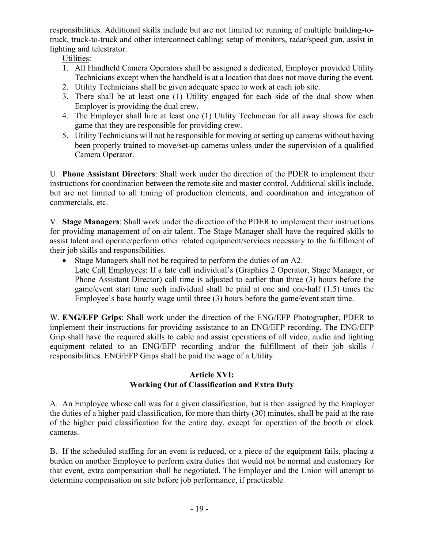responsibilities. Additional skills include but are not limited to: running of multiple building-totruck, truck-to-truck and other interconnect cabling; setup of monitors, radar/speed gun, assist in lighting and telestrator.

Utilities:

- 1. All Handheld Camera Operators shall be assigned a dedicated, Employer provided Utility Technicians except when the handheld is at a location that does not move during the event.
- 2. Utility Technicians shall be given adequate space to work at each job site.
- 3. There shall be at least one (1) Utility engaged for each side of the dual show when Employer is providing the dual crew.
- 4. The Employer shall hire at least one (1) Utility Technician for all away shows for each game that they are responsible for providing crew.
- 5. Utility Technicians will not be responsible for moving or setting up cameras without having been properly trained to move/set-up cameras unless under the supervision of a qualified Camera Operator.

U. **Phone Assistant Directors**: Shall work under the direction of the PDER to implement their instructions for coordination between the remote site and master control. Additional skills include, but are not limited to all timing of production elements, and coordination and integration of commercials, etc.

V. **Stage Managers**: Shall work under the direction of the PDER to implement their instructions for providing management of on-air talent. The Stage Manager shall have the required skills to assist talent and operate/perform other related equipment/services necessary to the fulfillment of their job skills and responsibilities.

• Stage Managers shall not be required to perform the duties of an A2. Late Call Employees: If a late call individual's (Graphics 2 Operator, Stage Manager, or Phone Assistant Director) call time is adjusted to earlier than three (3) hours before the game/event start time such individual shall be paid at one and one-half (1.5) times the Employee's base hourly wage until three (3) hours before the game/event start time.

W. **ENG/EFP Grips**: Shall work under the direction of the ENG/EFP Photographer, PDER to implement their instructions for providing assistance to an ENG/EFP recording. The ENG/EFP Grip shall have the required skills to cable and assist operations of all video, audio and lighting equipment related to an ENG/EFP recording and/or the fulfillment of their job skills / responsibilities. ENG/EFP Grips shall be paid the wage of a Utility.

## **Article XVI: Working Out of Classification and Extra Duty**

A. An Employee whose call was for a given classification, but is then assigned by the Employer the duties of a higher paid classification, for more than thirty (30) minutes, shall be paid at the rate of the higher paid classification for the entire day, except for operation of the booth or clock cameras.

B. If the scheduled staffing for an event is reduced, or a piece of the equipment fails, placing a burden on another Employee to perform extra duties that would not be normal and customary for that event, extra compensation shall be negotiated. The Employer and the Union will attempt to determine compensation on site before job performance, if practicable.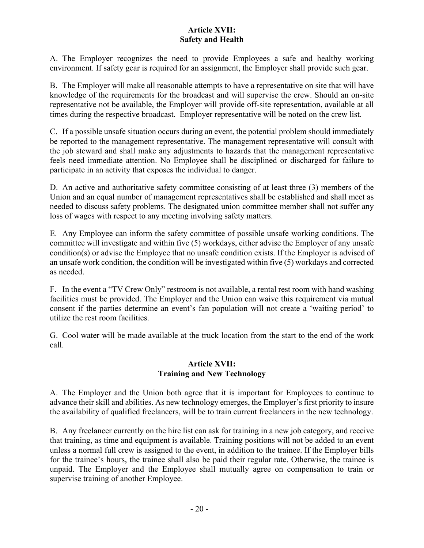## **Article XVII: Safety and Health**

A. The Employer recognizes the need to provide Employees a safe and healthy working environment. If safety gear is required for an assignment, the Employer shall provide such gear.

B. The Employer will make all reasonable attempts to have a representative on site that will have knowledge of the requirements for the broadcast and will supervise the crew. Should an on-site representative not be available, the Employer will provide off-site representation, available at all times during the respective broadcast. Employer representative will be noted on the crew list.

C. If a possible unsafe situation occurs during an event, the potential problem should immediately be reported to the management representative. The management representative will consult with the job steward and shall make any adjustments to hazards that the management representative feels need immediate attention. No Employee shall be disciplined or discharged for failure to participate in an activity that exposes the individual to danger.

D. An active and authoritative safety committee consisting of at least three (3) members of the Union and an equal number of management representatives shall be established and shall meet as needed to discuss safety problems. The designated union committee member shall not suffer any loss of wages with respect to any meeting involving safety matters.

E. Any Employee can inform the safety committee of possible unsafe working conditions. The committee will investigate and within five (5) workdays, either advise the Employer of any unsafe condition(s) or advise the Employee that no unsafe condition exists. If the Employer is advised of an unsafe work condition, the condition will be investigated within five (5) workdays and corrected as needed.

F. In the event a "TV Crew Only" restroom is not available, a rental rest room with hand washing facilities must be provided. The Employer and the Union can waive this requirement via mutual consent if the parties determine an event's fan population will not create a 'waiting period' to utilize the rest room facilities.

G. Cool water will be made available at the truck location from the start to the end of the work call.

## **Article XVII: Training and New Technology**

A. The Employer and the Union both agree that it is important for Employees to continue to advance their skill and abilities. As new technology emerges, the Employer's first priority to insure the availability of qualified freelancers, will be to train current freelancers in the new technology.

B. Any freelancer currently on the hire list can ask for training in a new job category, and receive that training, as time and equipment is available. Training positions will not be added to an event unless a normal full crew is assigned to the event, in addition to the trainee. If the Employer bills for the trainee's hours, the trainee shall also be paid their regular rate. Otherwise, the trainee is unpaid. The Employer and the Employee shall mutually agree on compensation to train or supervise training of another Employee.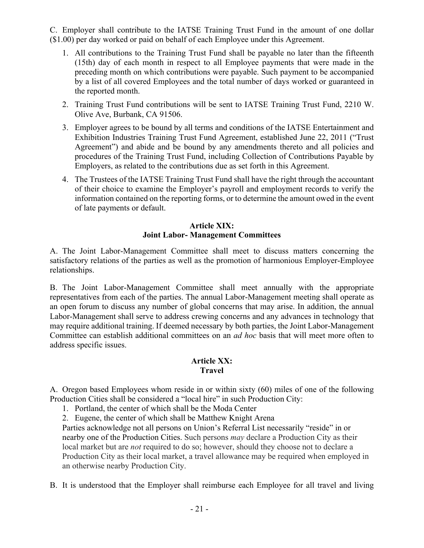C. Employer shall contribute to the IATSE Training Trust Fund in the amount of one dollar (\$1.00) per day worked or paid on behalf of each Employee under this Agreement.

- 1. All contributions to the Training Trust Fund shall be payable no later than the fifteenth (15th) day of each month in respect to all Employee payments that were made in the preceding month on which contributions were payable. Such payment to be accompanied by a list of all covered Employees and the total number of days worked or guaranteed in the reported month.
- 2. Training Trust Fund contributions will be sent to IATSE Training Trust Fund, 2210 W. Olive Ave, Burbank, CA 91506.
- 3. Employer agrees to be bound by all terms and conditions of the IATSE Entertainment and Exhibition Industries Training Trust Fund Agreement, established June 22, 2011 ("Trust Agreement") and abide and be bound by any amendments thereto and all policies and procedures of the Training Trust Fund, including Collection of Contributions Payable by Employers, as related to the contributions due as set forth in this Agreement.
- 4. The Trustees of the IATSE Training Trust Fund shall have the right through the accountant of their choice to examine the Employer's payroll and employment records to verify the information contained on the reporting forms, or to determine the amount owed in the event of late payments or default.

#### **Article XIX: Joint Labor- Management Committees**

A. The Joint Labor-Management Committee shall meet to discuss matters concerning the satisfactory relations of the parties as well as the promotion of harmonious Employer-Employee relationships.

B. The Joint Labor-Management Committee shall meet annually with the appropriate representatives from each of the parties. The annual Labor-Management meeting shall operate as an open forum to discuss any number of global concerns that may arise. In addition, the annual Labor-Management shall serve to address crewing concerns and any advances in technology that may require additional training. If deemed necessary by both parties, the Joint Labor-Management Committee can establish additional committees on an *ad hoc* basis that will meet more often to address specific issues.

## **Article XX: Travel**

A. Oregon based Employees whom reside in or within sixty (60) miles of one of the following Production Cities shall be considered a "local hire" in such Production City:

- 1. Portland, the center of which shall be the Moda Center
- 2. Eugene, the center of which shall be Matthew Knight Arena

Parties acknowledge not all persons on Union's Referral List necessarily "reside" in or nearby one of the Production Cities. Such persons *may* declare a Production City as their local market but are *not* required to do so; however, should they choose not to declare a Production City as their local market, a travel allowance may be required when employed in an otherwise nearby Production City.

B. It is understood that the Employer shall reimburse each Employee for all travel and living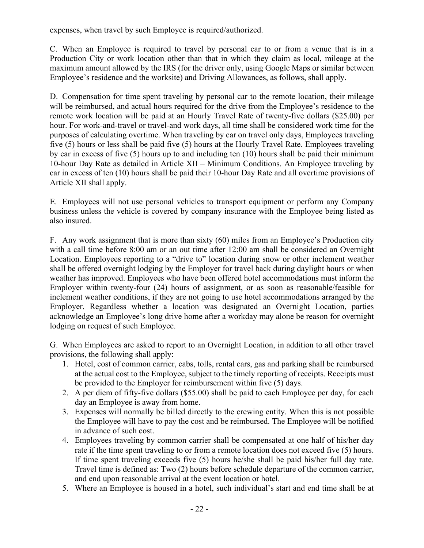expenses, when travel by such Employee is required/authorized.

C. When an Employee is required to travel by personal car to or from a venue that is in a Production City or work location other than that in which they claim as local, mileage at the maximum amount allowed by the IRS (for the driver only, using Google Maps or similar between Employee's residence and the worksite) and Driving Allowances, as follows, shall apply.

D. Compensation for time spent traveling by personal car to the remote location, their mileage will be reimbursed, and actual hours required for the drive from the Employee's residence to the remote work location will be paid at an Hourly Travel Rate of twenty-five dollars (\$25.00) per hour. For work-and-travel or travel-and work days, all time shall be considered work time for the purposes of calculating overtime. When traveling by car on travel only days, Employees traveling five (5) hours or less shall be paid five (5) hours at the Hourly Travel Rate. Employees traveling by car in excess of five (5) hours up to and including ten (10) hours shall be paid their minimum 10-hour Day Rate as detailed in Article XII – Minimum Conditions. An Employee traveling by car in excess of ten (10) hours shall be paid their 10-hour Day Rate and all overtime provisions of Article XII shall apply.

E. Employees will not use personal vehicles to transport equipment or perform any Company business unless the vehicle is covered by company insurance with the Employee being listed as also insured.

F. Any work assignment that is more than sixty (60) miles from an Employee's Production city with a call time before 8:00 am or an out time after 12:00 am shall be considered an Overnight Location. Employees reporting to a "drive to" location during snow or other inclement weather shall be offered overnight lodging by the Employer for travel back during daylight hours or when weather has improved. Employees who have been offered hotel accommodations must inform the Employer within twenty-four (24) hours of assignment, or as soon as reasonable/feasible for inclement weather conditions, if they are not going to use hotel accommodations arranged by the Employer. Regardless whether a location was designated an Overnight Location, parties acknowledge an Employee's long drive home after a workday may alone be reason for overnight lodging on request of such Employee.

G. When Employees are asked to report to an Overnight Location, in addition to all other travel provisions, the following shall apply:

- 1. Hotel, cost of common carrier, cabs, tolls, rental cars, gas and parking shall be reimbursed at the actual cost to the Employee, subject to the timely reporting of receipts. Receipts must be provided to the Employer for reimbursement within five (5) days.
- 2. A per diem of fifty-five dollars (\$55.00) shall be paid to each Employee per day, for each day an Employee is away from home.
- 3. Expenses will normally be billed directly to the crewing entity. When this is not possible the Employee will have to pay the cost and be reimbursed. The Employee will be notified in advance of such cost.
- 4. Employees traveling by common carrier shall be compensated at one half of his/her day rate if the time spent traveling to or from a remote location does not exceed five (5) hours. If time spent traveling exceeds five (5) hours he/she shall be paid his/her full day rate. Travel time is defined as: Two (2) hours before schedule departure of the common carrier, and end upon reasonable arrival at the event location or hotel.
- 5. Where an Employee is housed in a hotel, such individual's start and end time shall be at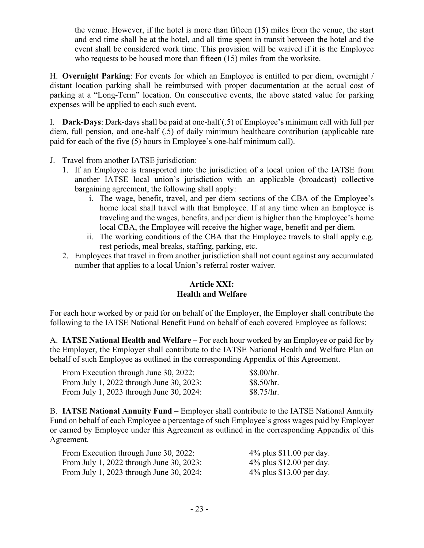the venue. However, if the hotel is more than fifteen (15) miles from the venue, the start and end time shall be at the hotel, and all time spent in transit between the hotel and the event shall be considered work time. This provision will be waived if it is the Employee who requests to be housed more than fifteen (15) miles from the worksite.

H. **Overnight Parking**: For events for which an Employee is entitled to per diem, overnight / distant location parking shall be reimbursed with proper documentation at the actual cost of parking at a "Long-Term" location. On consecutive events, the above stated value for parking expenses will be applied to each such event.

I. **Dark-Days**: Dark-days shall be paid at one-half (.5) of Employee's minimum call with full per diem, full pension, and one-half (.5) of daily minimum healthcare contribution (applicable rate paid for each of the five (5) hours in Employee's one-half minimum call).

- J. Travel from another IATSE jurisdiction:
	- 1. If an Employee is transported into the jurisdiction of a local union of the IATSE from another IATSE local union's jurisdiction with an applicable (broadcast) collective bargaining agreement, the following shall apply:
		- i. The wage, benefit, travel, and per diem sections of the CBA of the Employee's home local shall travel with that Employee. If at any time when an Employee is traveling and the wages, benefits, and per diem is higher than the Employee's home local CBA, the Employee will receive the higher wage, benefit and per diem.
		- ii. The working conditions of the CBA that the Employee travels to shall apply e.g. rest periods, meal breaks, staffing, parking, etc.
	- 2. Employees that travel in from another jurisdiction shall not count against any accumulated number that applies to a local Union's referral roster waiver.

## **Article XXI: Health and Welfare**

For each hour worked by or paid for on behalf of the Employer, the Employer shall contribute the following to the IATSE National Benefit Fund on behalf of each covered Employee as follows:

A. **IATSE National Health and Welfare** – For each hour worked by an Employee or paid for by the Employer, the Employer shall contribute to the IATSE National Health and Welfare Plan on behalf of such Employee as outlined in the corresponding Appendix of this Agreement.

| From Execution through June 30, 2022:    | \$8.00/hr. |
|------------------------------------------|------------|
| From July 1, 2022 through June 30, 2023: | \$8.50/hr. |
| From July 1, 2023 through June 30, 2024: | \$8.75/hr. |

B. **IATSE National Annuity Fund** – Employer shall contribute to the IATSE National Annuity Fund on behalf of each Employee a percentage of such Employee's gross wages paid by Employer or earned by Employee under this Agreement as outlined in the corresponding Appendix of this Agreement.

| From Execution through June 30, 2022:    | $4\%$ plus \$11.00 per day. |
|------------------------------------------|-----------------------------|
| From July 1, 2022 through June 30, 2023: | $4\%$ plus \$12.00 per day. |
| From July 1, 2023 through June 30, 2024: | $4\%$ plus \$13.00 per day. |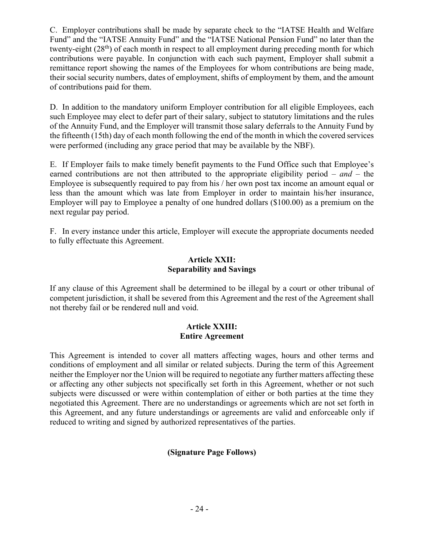C. Employer contributions shall be made by separate check to the "IATSE Health and Welfare Fund" and the "IATSE Annuity Fund" and the "IATSE National Pension Fund" no later than the twenty-eight (28<sup>th</sup>) of each month in respect to all employment during preceding month for which contributions were payable. In conjunction with each such payment, Employer shall submit a remittance report showing the names of the Employees for whom contributions are being made, their social security numbers, dates of employment, shifts of employment by them, and the amount of contributions paid for them.

D. In addition to the mandatory uniform Employer contribution for all eligible Employees, each such Employee may elect to defer part of their salary, subject to statutory limitations and the rules of the Annuity Fund, and the Employer will transmit those salary deferrals to the Annuity Fund by the fifteenth (15th) day of each month following the end of the month in which the covered services were performed (including any grace period that may be available by the NBF).

E. If Employer fails to make timely benefit payments to the Fund Office such that Employee's earned contributions are not then attributed to the appropriate eligibility period – *and –* the Employee is subsequently required to pay from his / her own post tax income an amount equal or less than the amount which was late from Employer in order to maintain his/her insurance, Employer will pay to Employee a penalty of one hundred dollars (\$100.00) as a premium on the next regular pay period.

F. In every instance under this article, Employer will execute the appropriate documents needed to fully effectuate this Agreement.

### **Article XXII: Separability and Savings**

If any clause of this Agreement shall be determined to be illegal by a court or other tribunal of competent jurisdiction, it shall be severed from this Agreement and the rest of the Agreement shall not thereby fail or be rendered null and void.

### **Article XXIII: Entire Agreement**

This Agreement is intended to cover all matters affecting wages, hours and other terms and conditions of employment and all similar or related subjects. During the term of this Agreement neither the Employer nor the Union will be required to negotiate any further matters affecting these or affecting any other subjects not specifically set forth in this Agreement, whether or not such subjects were discussed or were within contemplation of either or both parties at the time they negotiated this Agreement. There are no understandings or agreements which are not set forth in this Agreement, and any future understandings or agreements are valid and enforceable only if reduced to writing and signed by authorized representatives of the parties.

# **(Signature Page Follows)**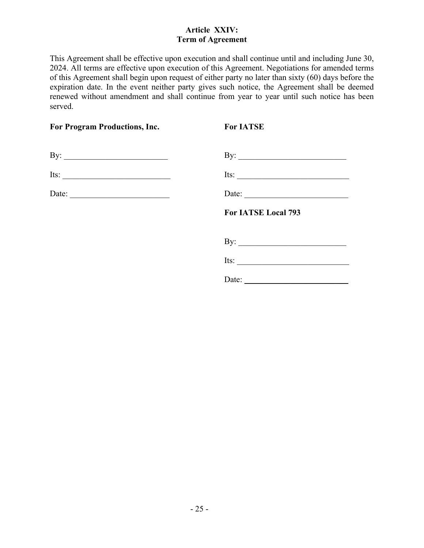## **Article XXIV: Term of Agreement**

This Agreement shall be effective upon execution and shall continue until and including June 30, 2024. All terms are effective upon execution of this Agreement. Negotiations for amended terms of this Agreement shall begin upon request of either party no later than sixty (60) days before the expiration date. In the event neither party gives such notice, the Agreement shall be deemed renewed without amendment and shall continue from year to year until such notice has been served.

| For Program Productions, Inc.                            | <b>For IATSE</b>                                         |
|----------------------------------------------------------|----------------------------------------------------------|
| By: $\qquad \qquad$                                      |                                                          |
| Its: $\frac{1}{\sqrt{1-\frac{1}{2}} \cdot \frac{1}{2}}$  | Its: $\qquad \qquad$                                     |
| Date: $\frac{1}{\sqrt{1-\frac{1}{2}} \cdot \frac{1}{2}}$ | Date: $\qquad \qquad$                                    |
|                                                          | For IATSE Local 793                                      |
|                                                          | By: $\qquad \qquad$                                      |
|                                                          | Its:                                                     |
|                                                          | Date: $\frac{1}{\sqrt{1-\frac{1}{2}} \cdot \frac{1}{2}}$ |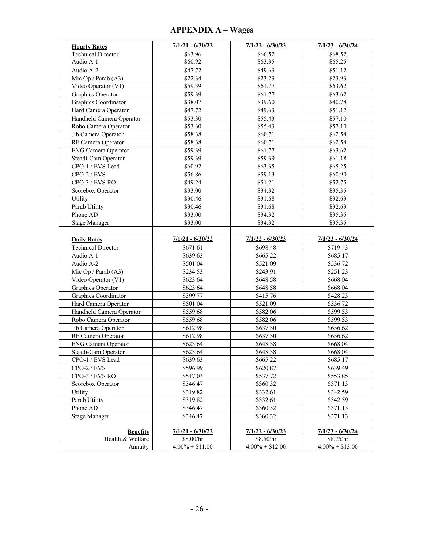## **APPENDIX A – Wages**

| <b>Hourly Rates</b>        | $7/1/21 - 6/30/22$ | $7/1/22 - 6/30/23$ | $7/1/23 - 6/30/24$ |
|----------------------------|--------------------|--------------------|--------------------|
| <b>Technical Director</b>  | \$63.96            | \$66.52            | \$68.52            |
| Audio A-1                  | \$60.92            | \$63.35            | \$65.25            |
| Audio A-2                  | \$47.72            | \$49.63            | \$51.12            |
| Mic Op / Parab $(A3)$      | \$22.34            | \$23.23            | \$23.93            |
| Video Operator (V1)        | \$59.39            | \$61.77            | \$63.62            |
| Graphics Operator          | \$59.39            | \$61.77            | \$63.62            |
| Graphics Coordinator       | \$38.07            | \$39.60            | \$40.78            |
| Hard Camera Operator       | \$47.72            | \$49.63            | \$51.12            |
| Handheld Camera Operator   | \$53.30            | \$55.43            | \$57.10            |
| Robo Camera Operator       | \$53.30            | \$55.43            | \$57.10            |
| Jib Camera Operator        | \$58.38            | \$60.71            | \$62.54            |
| RF Camera Operator         | \$58.38            | \$60.71            | \$62.54            |
| <b>ENG Camera Operator</b> | \$59.39            | \$61.77            | \$63.62            |
| Steadi-Cam Operator        | \$59.39            | \$59.39            | \$61.18            |
| CPO-1 / EVS Lead           | \$60.92            | \$63.35            | \$65.25            |
| $CPO-2 / EVS$              | \$56.86            | \$59.13            | \$60.90            |
| CPO-3 / EVS RO             | \$49.24            | \$51.21            | \$52.75            |
| Scorebox Operator          | \$33.00            | \$34.32            | \$35.35            |
| Utility                    | \$30.46            | \$31.68            | \$32.63            |
| Parab Utility              | \$30.46            | \$31.68            | \$32.63            |
| Phone AD                   | \$33.00            | \$34.32            | \$35.35            |
| <b>Stage Manager</b>       | \$33.00            | \$34.32            | \$35.35            |
|                            |                    |                    |                    |
| <b>Daily Rates</b>         | $7/1/21 - 6/30/22$ | $7/1/22 - 6/30/23$ | $7/1/23 - 6/30/24$ |
| <b>Technical Director</b>  | \$671.61           | \$698.48           | \$719.43           |
| Audio A-1                  | \$639.63           | \$665.22           | \$685.17           |
| Audio A-2                  | \$501.04           | \$521.09           | \$536.72           |
| Mic Op / Parab $(A3)$      | \$234.53           | \$243.91           | \$251.23           |
| Video Operator (V1)        | \$623.64           | \$648.58           | \$668.04           |
| Graphics Operator          | \$623.64           | \$648.58           | \$668.04           |
| Graphics Coordinator       | \$399.77           | \$415.76           | \$428.23           |
| Hard Camera Operator       | \$501.04           | \$521.09           | \$536.72           |
| Handheld Camera Operator   | \$559.68           | \$582.06           | \$599.53           |
| Robo Camera Operator       | \$559.68           | \$582.06           | \$599.53           |
| Jib Camera Operator        | \$612.98           | \$637.50           | \$656.62           |
| RF Camera Operator         | \$612.98           | \$637.50           | \$656.62           |
| <b>ENG Camera Operator</b> | \$623.64           | \$648.58           | \$668.04           |
| Steadi-Cam Operator        | \$623.64           | \$648.58           | \$668.04           |
| CPO-1 / EVS Lead           | \$639.63           | \$665.22           | \$685.17           |
| $CPO-2 / EVS$              | \$596.99           | \$620.87           | \$639.49           |
| CPO-3 / EVS RO             | \$517.03           | \$537.72           | \$553.85           |
| Scorebox Operator          | \$346.47           | \$360.32           | \$371.13           |
| Utility                    | \$319.82           | \$332.61           | \$342.59           |
| Parab Utility              | \$319.82           | \$332.61           | \$342.59           |
| Phone AD                   | \$346.47           | \$360.32           | \$371.13           |
| <b>Stage Manager</b>       | \$346.47           | \$360.32           | \$371.13           |
|                            |                    |                    |                    |
| <b>Benefits</b>            | $7/1/21 - 6/30/22$ | $7/1/22 - 6/30/23$ | $7/1/23 - 6/30/24$ |
| Health & Welfare           | \$8.00/hr          | \$8.50/hr          | \$8.75/hr          |
| Annuity                    | $4.00\% + $11.00$  | $4.00\% + $12.00$  | $4.00\% + $13.00$  |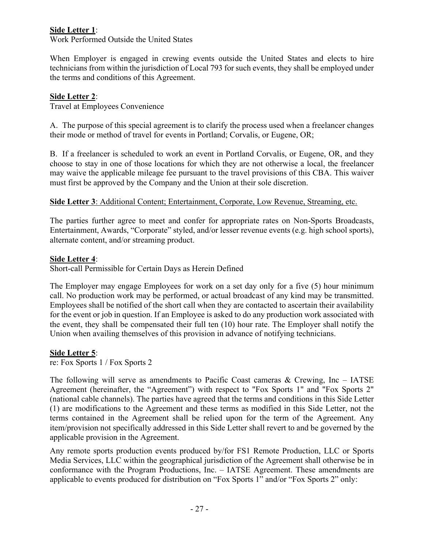## **Side Letter 1**:

Work Performed Outside the United States

When Employer is engaged in crewing events outside the United States and elects to hire technicians from within the jurisdiction of Local 793 for such events, they shall be employed under the terms and conditions of this Agreement.

## **Side Letter 2**:

Travel at Employees Convenience

A. The purpose of this special agreement is to clarify the process used when a freelancer changes their mode or method of travel for events in Portland; Corvalis, or Eugene, OR;

B. If a freelancer is scheduled to work an event in Portland Corvalis, or Eugene, OR, and they choose to stay in one of those locations for which they are not otherwise a local, the freelancer may waive the applicable mileage fee pursuant to the travel provisions of this CBA. This waiver must first be approved by the Company and the Union at their sole discretion.

## **Side Letter 3**: Additional Content; Entertainment, Corporate, Low Revenue, Streaming, etc.

The parties further agree to meet and confer for appropriate rates on Non-Sports Broadcasts, Entertainment, Awards, "Corporate" styled, and/or lesser revenue events (e.g. high school sports), alternate content, and/or streaming product.

### **Side Letter 4**:

Short-call Permissible for Certain Days as Herein Defined

The Employer may engage Employees for work on a set day only for a five (5) hour minimum call. No production work may be performed, or actual broadcast of any kind may be transmitted. Employees shall be notified of the short call when they are contacted to ascertain their availability for the event or job in question. If an Employee is asked to do any production work associated with the event, they shall be compensated their full ten (10) hour rate. The Employer shall notify the Union when availing themselves of this provision in advance of notifying technicians.

## **Side Letter 5**:

re: Fox Sports 1 / Fox Sports 2

The following will serve as amendments to Pacific Coast cameras  $\&$  Crewing, Inc – IATSE Agreement (hereinafter, the "Agreement") with respect to "Fox Sports 1" and "Fox Sports 2" (national cable channels). The parties have agreed that the terms and conditions in this Side Letter (1) are modifications to the Agreement and these terms as modified in this Side Letter, not the terms contained in the Agreement shall be relied upon for the term of the Agreement. Any item/provision not specifically addressed in this Side Letter shall revert to and be governed by the applicable provision in the Agreement.

Any remote sports production events produced by/for FS1 Remote Production, LLC or Sports Media Services, LLC within the geographical jurisdiction of the Agreement shall otherwise be in conformance with the Program Productions, Inc. – IATSE Agreement. These amendments are applicable to events produced for distribution on "Fox Sports 1" and/or "Fox Sports 2" only: